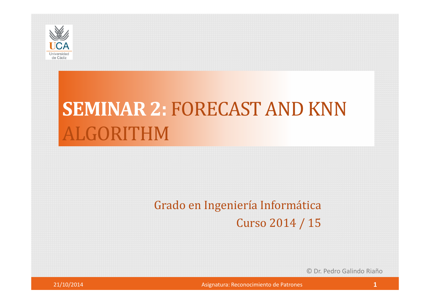

# **SEMINAR 2:** FORECAST AND KNNALGORITHM

#### Grado en Ingeniería Informática

Curso 2014 / 15

© Dr. Pedro Galindo Riaño



Asignatura: Reconocimiento de Patrones **1 1**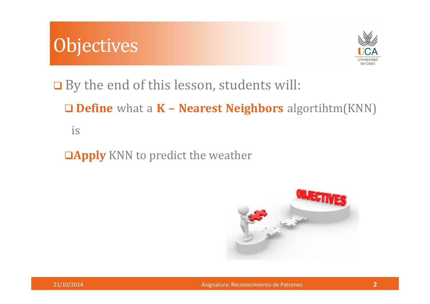



**□** By the end of this lesson, students will:

**Define** what <sup>a</sup> **<sup>K</sup> – Nearest Neighbors** algortihtm(KNN)

is

**Apply** KNN to predict the weather

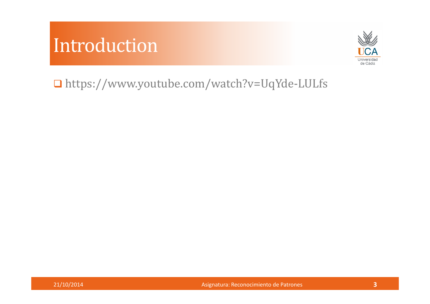### Introduction



https://www.youtube.com/watch?v=UqYde-LULfs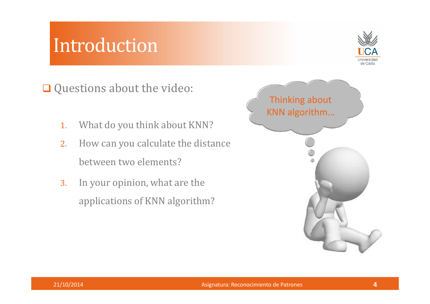#### Introduction



Questions about the video:

- 1.What do you think about KNN?
- 2. How can you calculate the distance between two elements?
- 3. In your opinion, what are the applications of KNN algorithm?

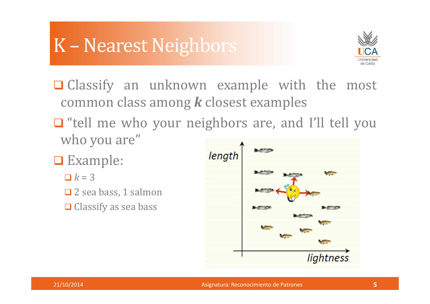## K – Nearest Neighbors



- $\Box$  Classify an unknown example with the most common class among *<sup>k</sup>* closest examples
- □ "tell me who your neighbors are, and I'll tell you who you are"
- **□** Example:
	- $\Box$   $k = 3$
	- **□** 2 sea bass, 1 salmon
	- $\Box$  Classify as sea bass

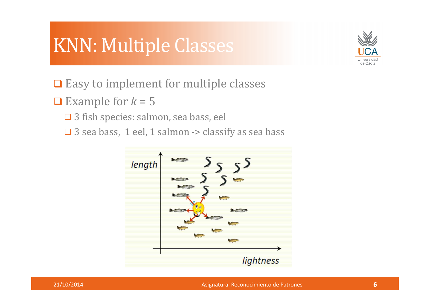# KNN: Multiple Classes



- $\Box$  Easy to implement for multiple classes
- Example for  $k = 5$ 
	- **□** 3 fish species: salmon, sea bass, eel
	- $\Box$  3 sea bass, 1 eel, 1 salmon -> classify as sea bass



Asignatura: Reconocimiento de Patrones **<sup>6</sup>**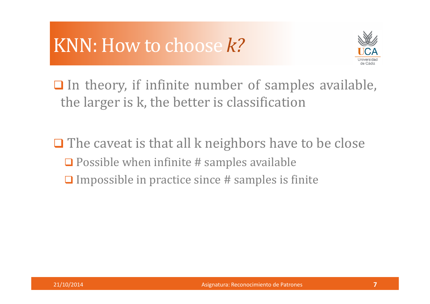# KNN: How to choose *k?*



 $\Box$  In theory, if infinite number of samples available, the larger is k, the better is classification

 $\Box$  The caveat is that all k neighbors have to be close  $\Box$  Possible when infinite # samples available  $\Box$  Impossible in practice since # samples is finite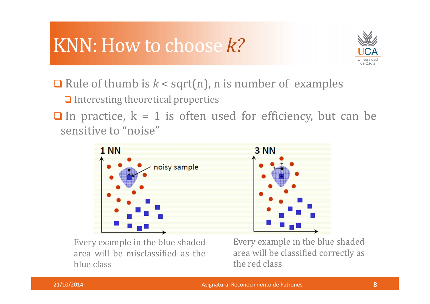# KNN: How to choose *k?*



**Q** Rule of thumb is  $k <$  sqrt(n), n is number of examples

 $\Box$  Interesting theoretical properties

 $\Box$  In practice,  $k = 1$  is often used for efficiency, but can be sensitive to "noise"



Every example in the blue shaded area will be misclassified as the blue class

Every example in the blue shaded area will be classified correctly as the red class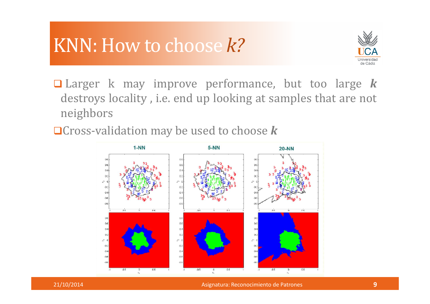# KNN: How to choose *k?*



- Larger <sup>k</sup> may improve performance, but too large *<sup>k</sup>* destroys locality , i.e. end up looking at samples that are not neighbors
- Cross-validation may be used to choose *<sup>k</sup>*



Asignatura: Reconocimiento de Patrones **<sup>9</sup>**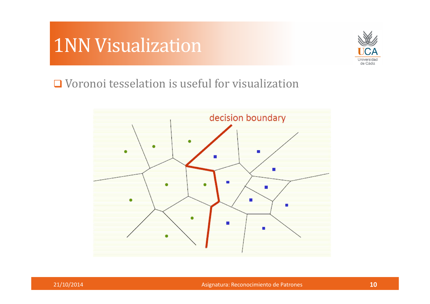### 1NN Visualization



**□** Voronoi tesselation is useful for visualization



Asignatura: Reconocimiento de Patrones **<sup>10</sup>**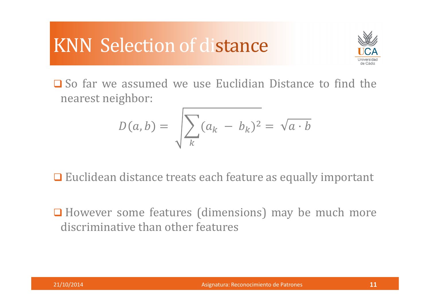# KNN Selection of distance



So far we assumed we use Euclidian Distance to find the nearest neighbor:

$$
D(a,b) = \sqrt{\sum_{k} (a_k - b_k)^2} = \sqrt{a \cdot b}
$$

**□** Euclidean distance treats each feature as equally important

**□** However some features (dimensions) may be much more discriminative than other features